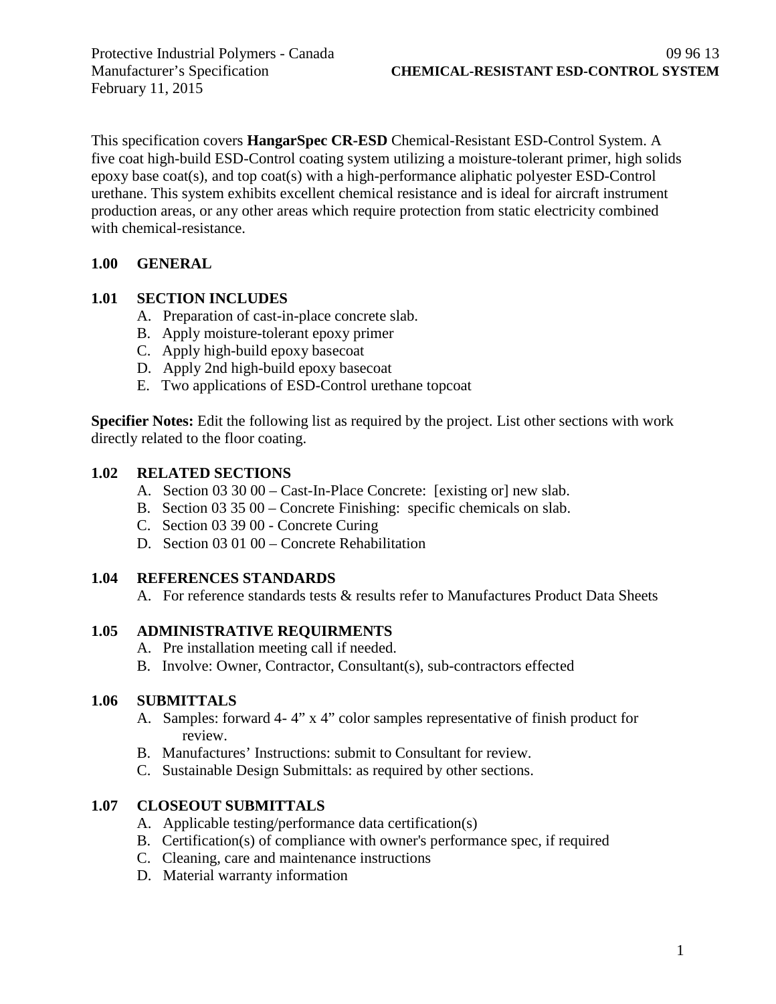February 11, 2015

This specification covers **HangarSpec CR-ESD** Chemical-Resistant ESD-Control System. A five coat high-build ESD-Control coating system utilizing a moisture-tolerant primer, high solids epoxy base coat(s), and top coat(s) with a high-performance aliphatic polyester ESD-Control urethane. This system exhibits excellent chemical resistance and is ideal for aircraft instrument production areas, or any other areas which require protection from static electricity combined with chemical-resistance.

## **1.00 GENERAL**

## **1.01 SECTION INCLUDES**

- A. Preparation of cast-in-place concrete slab.
- B. Apply moisture-tolerant epoxy primer
- C. Apply high-build epoxy basecoat
- D. Apply 2nd high-build epoxy basecoat
- E. Two applications of ESD-Control urethane topcoat

**Specifier Notes:** Edit the following list as required by the project. List other sections with work directly related to the floor coating.

#### **1.02 RELATED SECTIONS**

- A. Section 03 30 00 Cast-In-Place Concrete: [existing or] new slab.
- B. Section 03 35 00 Concrete Finishing: specific chemicals on slab.
- C. Section 03 39 00 Concrete Curing
- D. Section 03 01 00 Concrete Rehabilitation

## **1.04 REFERENCES STANDARDS**

A. For reference standards tests & results refer to Manufactures Product Data Sheets

## **1.05 ADMINISTRATIVE REQUIRMENTS**

- A. Pre installation meeting call if needed.
- B. Involve: Owner, Contractor, Consultant(s), sub-contractors effected

## **1.06 SUBMITTALS**

- A. Samples: forward 4- 4" x 4" color samples representative of finish product for review.
- B. Manufactures' Instructions: submit to Consultant for review.
- C. Sustainable Design Submittals: as required by other sections.

## **1.07 CLOSEOUT SUBMITTALS**

- A. Applicable testing/performance data certification(s)
- B. Certification(s) of compliance with owner's performance spec, if required
- C. Cleaning, care and maintenance instructions
- D. Material warranty information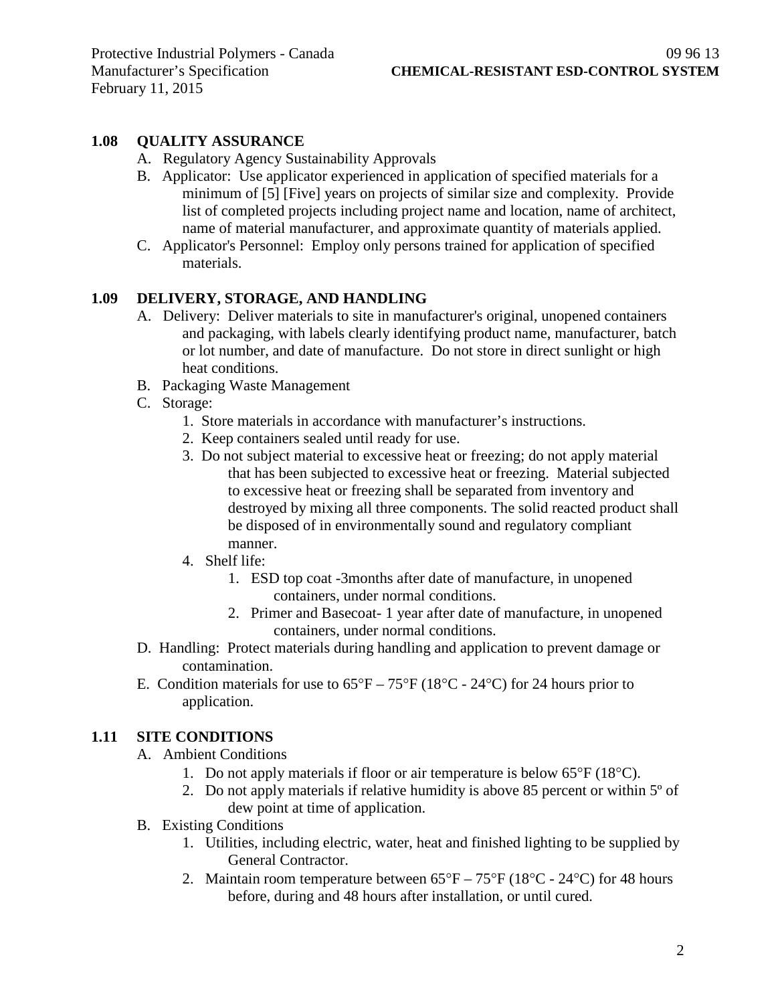# **1.08 QUALITY ASSURANCE**

- A. Regulatory Agency Sustainability Approvals
- B. Applicator: Use applicator experienced in application of specified materials for a minimum of [5] [Five] years on projects of similar size and complexity. Provide list of completed projects including project name and location, name of architect, name of material manufacturer, and approximate quantity of materials applied.
- C. Applicator's Personnel: Employ only persons trained for application of specified materials.

## **1.09 DELIVERY, STORAGE, AND HANDLING**

- A. Delivery: Deliver materials to site in manufacturer's original, unopened containers and packaging, with labels clearly identifying product name, manufacturer, batch or lot number, and date of manufacture. Do not store in direct sunlight or high heat conditions.
- B. Packaging Waste Management
- C. Storage:
	- 1. Store materials in accordance with manufacturer's instructions.
	- 2. Keep containers sealed until ready for use.
	- 3. Do not subject material to excessive heat or freezing; do not apply material that has been subjected to excessive heat or freezing. Material subjected to excessive heat or freezing shall be separated from inventory and destroyed by mixing all three components. The solid reacted product shall be disposed of in environmentally sound and regulatory compliant manner.
	- 4. Shelf life:
		- 1. ESD top coat -3months after date of manufacture, in unopened containers, under normal conditions.
		- 2. Primer and Basecoat- 1 year after date of manufacture, in unopened containers, under normal conditions.
- D. Handling: Protect materials during handling and application to prevent damage or contamination.
- E. Condition materials for use to  $65^{\circ}F 75^{\circ}F (18^{\circ}C 24^{\circ}C)$  for 24 hours prior to application.

## **1.11 SITE CONDITIONS**

- A. Ambient Conditions
	- 1. Do not apply materials if floor or air temperature is below 65°F (18°C).
	- 2. Do not apply materials if relative humidity is above 85 percent or within 5º of dew point at time of application.
- B. Existing Conditions
	- 1. Utilities, including electric, water, heat and finished lighting to be supplied by General Contractor.
	- 2. Maintain room temperature between  $65^{\circ}F 75^{\circ}F (18^{\circ}C 24^{\circ}C)$  for 48 hours before, during and 48 hours after installation, or until cured.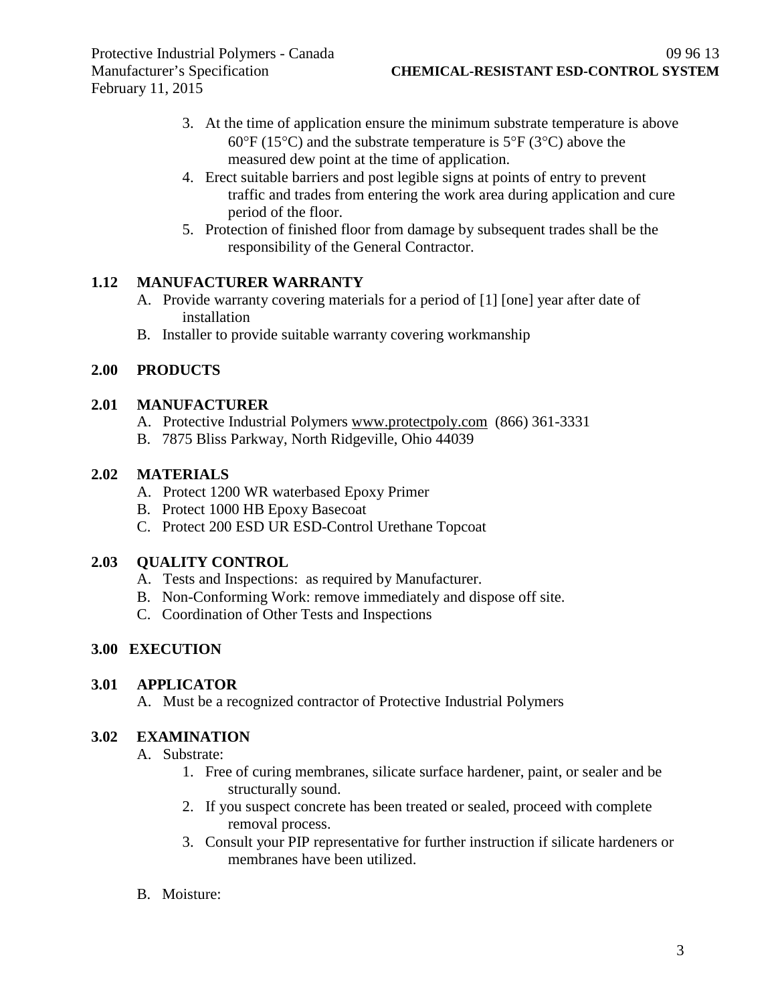- 3. At the time of application ensure the minimum substrate temperature is above  $60^{\circ}$ F (15<sup>o</sup>C) and the substrate temperature is 5<sup>o</sup>F (3<sup>o</sup>C) above the measured dew point at the time of application.
- 4. Erect suitable barriers and post legible signs at points of entry to prevent traffic and trades from entering the work area during application and cure period of the floor.
- 5. Protection of finished floor from damage by subsequent trades shall be the responsibility of the General Contractor.

# **1.12 MANUFACTURER WARRANTY**

- A. Provide warranty covering materials for a period of [1] [one] year after date of installation
- B. Installer to provide suitable warranty covering workmanship

# **2.00 PRODUCTS**

#### **2.01 MANUFACTURER**

- A. Protective Industrial Polymers [www.protectpoly.com](http://www.protectpoly.com/) (866) 361-3331
- B. 7875 Bliss Parkway, North Ridgeville, Ohio 44039

## **2.02 MATERIALS**

- A. Protect 1200 WR waterbased Epoxy Primer
- B. Protect 1000 HB Epoxy Basecoat
- C. Protect 200 ESD UR ESD-Control Urethane Topcoat

## **2.03 QUALITY CONTROL**

- A. Tests and Inspections: as required by Manufacturer.
- B. Non-Conforming Work: remove immediately and dispose off site.
- C. Coordination of Other Tests and Inspections

# **3.00 EXECUTION**

#### **3.01 APPLICATOR**

A. Must be a recognized contractor of Protective Industrial Polymers

#### **3.02 EXAMINATION**

- A. Substrate:
	- 1. Free of curing membranes, silicate surface hardener, paint, or sealer and be structurally sound.
	- 2. If you suspect concrete has been treated or sealed, proceed with complete removal process.
	- 3. Consult your PIP representative for further instruction if silicate hardeners or membranes have been utilized.
- B. Moisture: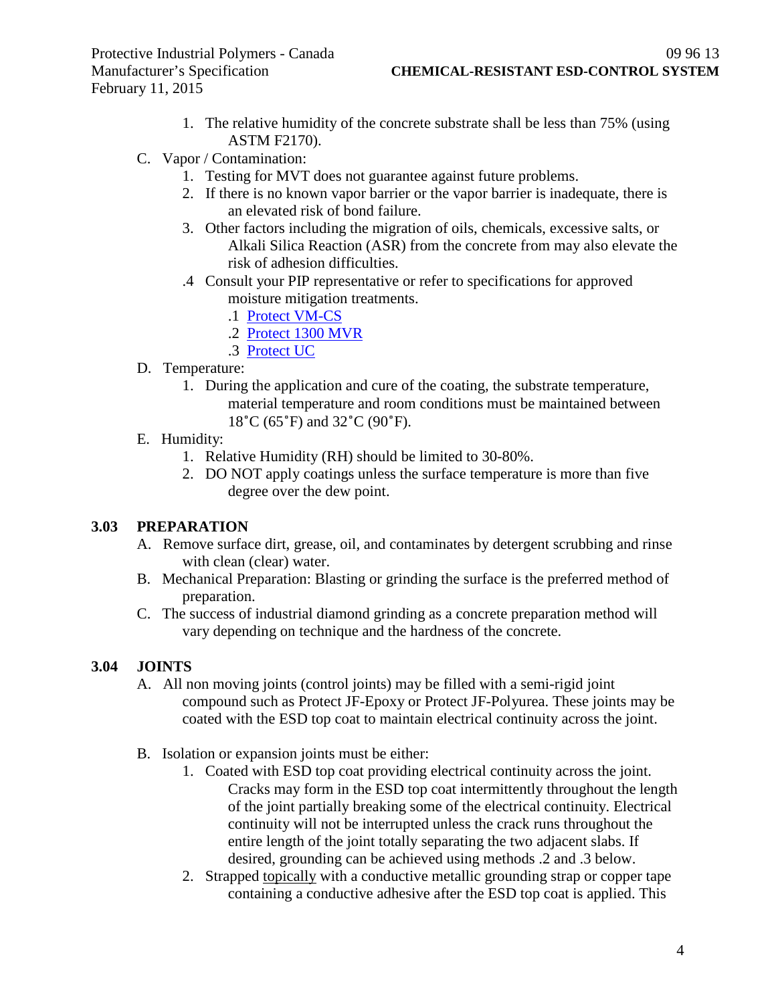- 1. The relative humidity of the concrete substrate shall be less than 75% (using ASTM F2170).
- C. Vapor / Contamination:
	- 1. Testing for MVT does not guarantee against future problems.
	- 2. If there is no known vapor barrier or the vapor barrier is inadequate, there is an elevated risk of bond failure.
	- 3. Other factors including the migration of oils, chemicals, excessive salts, or Alkali Silica Reaction (ASR) from the concrete from may also elevate the risk of adhesion difficulties.
	- .4 Consult your PIP representative or refer to specifications for approved moisture mitigation treatments.
		- .1 [Protect VM-CS](http://www.protectiveindustrialpolymers.com/Upload/Canadian%20Specs/Moisture%20Mitigation%20Spec%20-%20VM-CS%20(CANADIAN).pdf)
		- .2 [Protect 1300 MVR](http://www.protectiveindustrialpolymers.com/Upload/Canadian%20Specs/Moisture%20Mitigation%20Spec%20-%201300MVR%20(CANADIAN).pdf)
		- .3 [Protect UC](http://www.protectiveindustrialpolymers.com/Upload/Canadian%20Specs/Moisture%20Mitigation%20Spec%20-%20UC%20(CANADIAN).pdf)
- D. Temperature:
	- 1. During the application and cure of the coating, the substrate temperature, material temperature and room conditions must be maintained between 18˚C (65˚F) and 32˚C (90˚F).
- E. Humidity:
	- 1. Relative Humidity (RH) should be limited to 30-80%.
	- 2. DO NOT apply coatings unless the surface temperature is more than five degree over the dew point.

## **3.03 PREPARATION**

- A. Remove surface dirt, grease, oil, and contaminates by detergent scrubbing and rinse with clean (clear) water.
- B. Mechanical Preparation: Blasting or grinding the surface is the preferred method of preparation.
- C. The success of industrial diamond grinding as a concrete preparation method will vary depending on technique and the hardness of the concrete.

## **3.04 JOINTS**

- A. All non moving joints (control joints) may be filled with a semi-rigid joint compound such as Protect JF-Epoxy or Protect JF-Polyurea. These joints may be coated with the ESD top coat to maintain electrical continuity across the joint.
- B. Isolation or expansion joints must be either:
	- 1. Coated with ESD top coat providing electrical continuity across the joint. Cracks may form in the ESD top coat intermittently throughout the length of the joint partially breaking some of the electrical continuity. Electrical continuity will not be interrupted unless the crack runs throughout the entire length of the joint totally separating the two adjacent slabs. If desired, grounding can be achieved using methods .2 and .3 below.
	- 2. Strapped topically with a conductive metallic grounding strap or copper tape containing a conductive adhesive after the ESD top coat is applied. This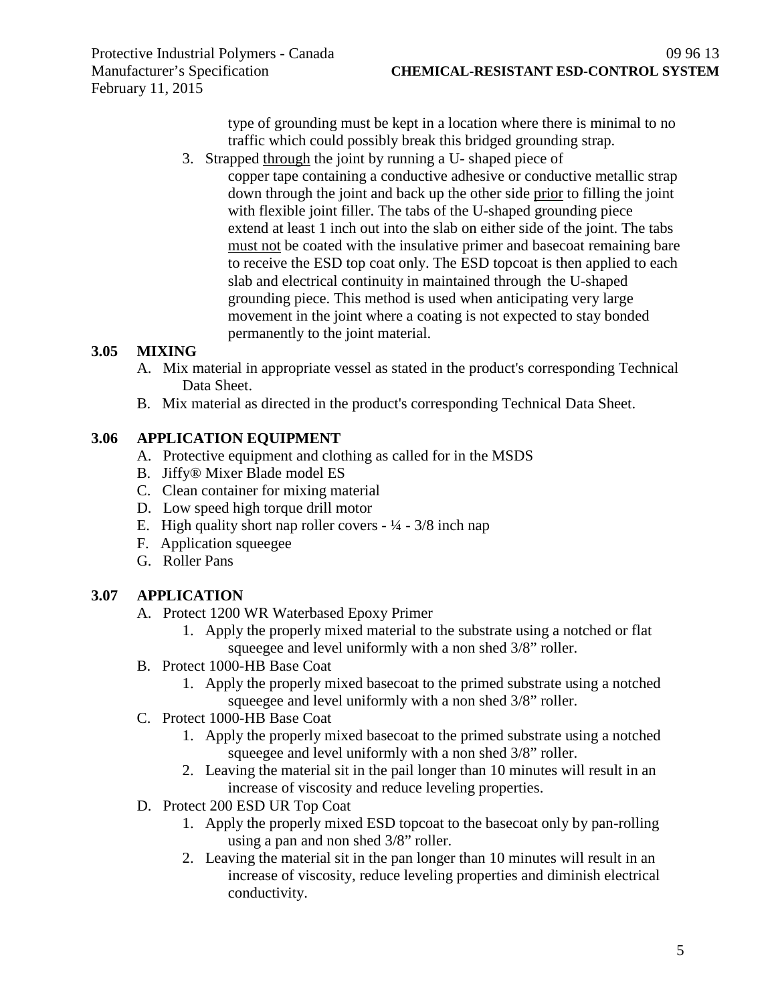type of grounding must be kept in a location where there is minimal to no traffic which could possibly break this bridged grounding strap.

3. Strapped through the joint by running a U- shaped piece of copper tape containing a conductive adhesive or conductive metallic strap down through the joint and back up the other side prior to filling the joint with flexible joint filler. The tabs of the U-shaped grounding piece extend at least 1 inch out into the slab on either side of the joint. The tabs must not be coated with the insulative primer and basecoat remaining bare to receive the ESD top coat only. The ESD topcoat is then applied to each slab and electrical continuity in maintained through the U-shaped grounding piece. This method is used when anticipating very large movement in the joint where a coating is not expected to stay bonded permanently to the joint material.

# **3.05 MIXING**

- A. Mix material in appropriate vessel as stated in the product's corresponding Technical Data Sheet.
- B. Mix material as directed in the product's corresponding Technical Data Sheet.

## **3.06 APPLICATION EQUIPMENT**

- A. Protective equipment and clothing as called for in the MSDS
- B. Jiffy® Mixer Blade model ES
- C. Clean container for mixing material
- D. Low speed high torque drill motor
- E. High quality short nap roller covers  $\frac{1}{4} \frac{3}{8}$  inch nap
- F. Application squeegee
- G. Roller Pans

## **3.07 APPLICATION**

- A. Protect 1200 WR Waterbased Epoxy Primer
	- 1. Apply the properly mixed material to the substrate using a notched or flat squeegee and level uniformly with a non shed 3/8" roller.
- B. Protect 1000-HB Base Coat
	- 1. Apply the properly mixed basecoat to the primed substrate using a notched squeegee and level uniformly with a non shed 3/8" roller.
- C. Protect 1000-HB Base Coat
	- 1. Apply the properly mixed basecoat to the primed substrate using a notched squeegee and level uniformly with a non shed 3/8" roller.
	- 2. Leaving the material sit in the pail longer than 10 minutes will result in an increase of viscosity and reduce leveling properties.
- D. Protect 200 ESD UR Top Coat
	- 1. Apply the properly mixed ESD topcoat to the basecoat only by pan-rolling using a pan and non shed 3/8" roller.
	- 2. Leaving the material sit in the pan longer than 10 minutes will result in an increase of viscosity, reduce leveling properties and diminish electrical conductivity.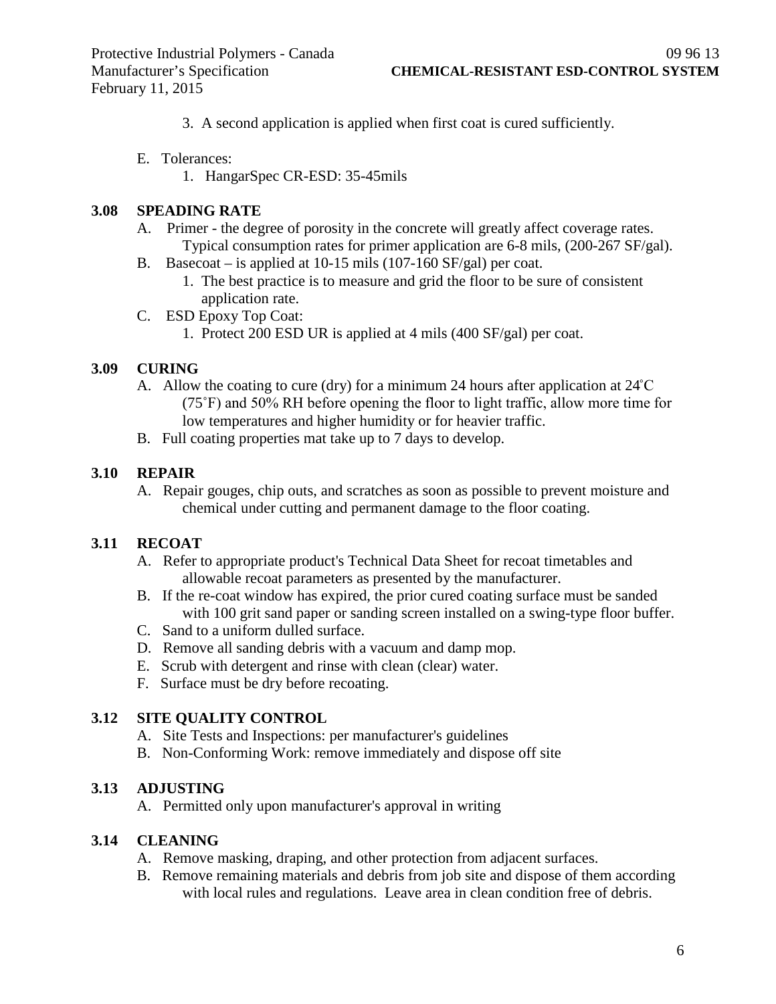- 3. A second application is applied when first coat is cured sufficiently.
- E. Tolerances:
	- 1. HangarSpec CR-ESD: 35-45mils

#### **3.08 SPEADING RATE**

- A. Primer the degree of porosity in the concrete will greatly affect coverage rates. Typical consumption rates for primer application are 6-8 mils, (200-267 SF/gal).
- B. Basecoat is applied at 10-15 mils (107-160 SF/gal) per coat.
	- 1. The best practice is to measure and grid the floor to be sure of consistent application rate.
- C. ESD Epoxy Top Coat:
	- 1. Protect 200 ESD UR is applied at 4 mils (400 SF/gal) per coat.

## **3.09 CURING**

- A. Allow the coating to cure (dry) for a minimum 24 hours after application at 24˚C (75˚F) and 50% RH before opening the floor to light traffic, allow more time for low temperatures and higher humidity or for heavier traffic.
- B. Full coating properties mat take up to 7 days to develop.

#### **3.10 REPAIR**

A. Repair gouges, chip outs, and scratches as soon as possible to prevent moisture and chemical under cutting and permanent damage to the floor coating.

## **3.11 RECOAT**

- A. Refer to appropriate product's Technical Data Sheet for recoat timetables and allowable recoat parameters as presented by the manufacturer.
- B. If the re-coat window has expired, the prior cured coating surface must be sanded with 100 grit sand paper or sanding screen installed on a swing-type floor buffer.
- C. Sand to a uniform dulled surface.
- D. Remove all sanding debris with a vacuum and damp mop.
- E. Scrub with detergent and rinse with clean (clear) water.
- F. Surface must be dry before recoating.

## **3.12 SITE QUALITY CONTROL**

- A. Site Tests and Inspections: per manufacturer's guidelines
- B. Non-Conforming Work: remove immediately and dispose off site

#### **3.13 ADJUSTING**

A. Permitted only upon manufacturer's approval in writing

#### **3.14 CLEANING**

- A. Remove masking, draping, and other protection from adjacent surfaces.
- B. Remove remaining materials and debris from job site and dispose of them according with local rules and regulations. Leave area in clean condition free of debris.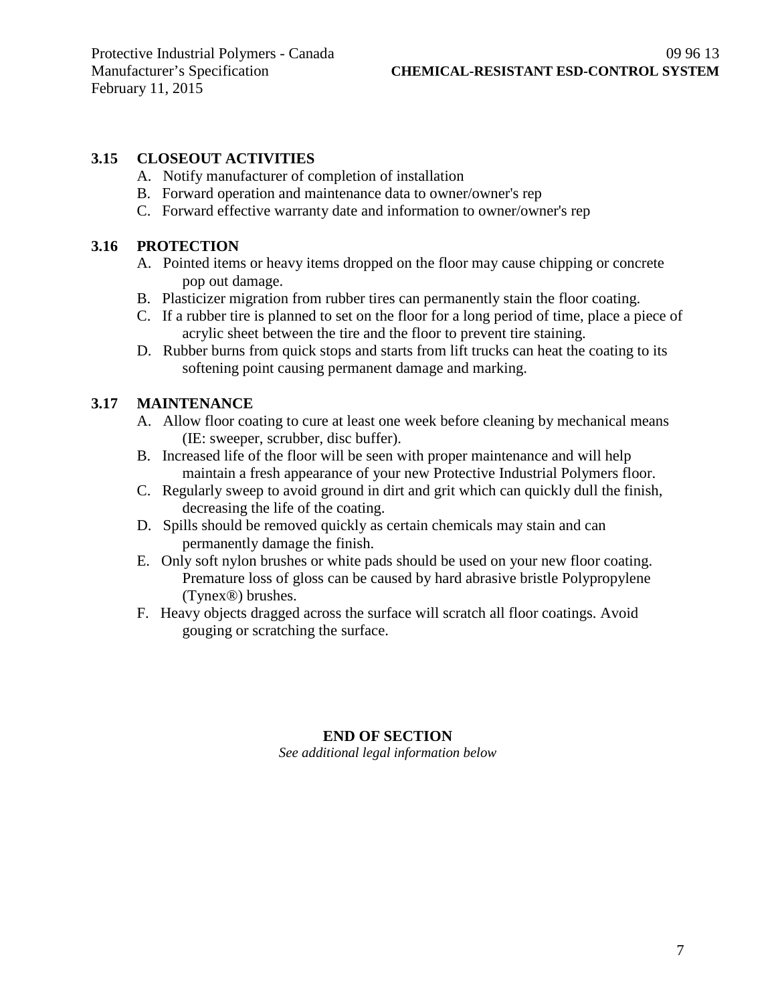# **3.15 CLOSEOUT ACTIVITIES**

- A. Notify manufacturer of completion of installation
- B. Forward operation and maintenance data to owner/owner's rep
- C. Forward effective warranty date and information to owner/owner's rep

#### **3.16 PROTECTION**

- A. Pointed items or heavy items dropped on the floor may cause chipping or concrete pop out damage.
- B. Plasticizer migration from rubber tires can permanently stain the floor coating.
- C. If a rubber tire is planned to set on the floor for a long period of time, place a piece of acrylic sheet between the tire and the floor to prevent tire staining.
- D. Rubber burns from quick stops and starts from lift trucks can heat the coating to its softening point causing permanent damage and marking.

#### **3.17 MAINTENANCE**

- A. Allow floor coating to cure at least one week before cleaning by mechanical means (IE: sweeper, scrubber, disc buffer).
- B. Increased life of the floor will be seen with proper maintenance and will help maintain a fresh appearance of your new Protective Industrial Polymers floor.
- C. Regularly sweep to avoid ground in dirt and grit which can quickly dull the finish, decreasing the life of the coating.
- D. Spills should be removed quickly as certain chemicals may stain and can permanently damage the finish.
- E. Only soft nylon brushes or white pads should be used on your new floor coating. Premature loss of gloss can be caused by hard abrasive bristle Polypropylene (Tynex®) brushes.
- F. Heavy objects dragged across the surface will scratch all floor coatings. Avoid gouging or scratching the surface.

## **END OF SECTION**

*See additional legal information below*